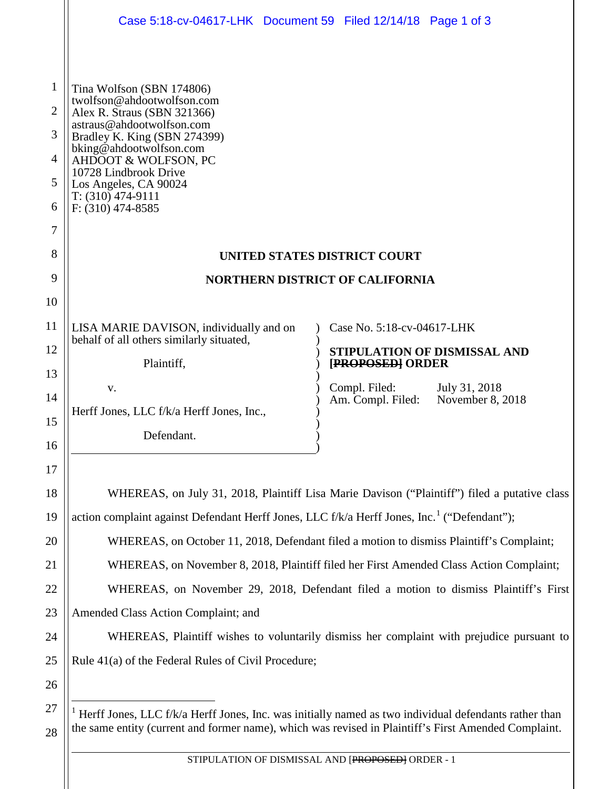|                                 | Case 5:18-cv-04617-LHK Document 59 Filed 12/14/18 Page 1 of 3                                                                                                                                                                                                                                          |                                                    |
|---------------------------------|--------------------------------------------------------------------------------------------------------------------------------------------------------------------------------------------------------------------------------------------------------------------------------------------------------|----------------------------------------------------|
| 1<br>2<br>3<br>4<br>5<br>6<br>7 | Tina Wolfson (SBN 174806)<br>twolfson@ahdootwolfson.com<br>Alex R. Straus (SBN 321366)<br>astraus@ahdootwolfson.com<br>Bradley K. King (SBN 274399)<br>bking@ahdootwolfson.com<br>AHDOOT & WOLFSON, PC<br>10728 Lindbrook Drive<br>Los Angeles, CA 90024<br>$T: (310)$ 474-9111<br>$F: (310)$ 474-8585 |                                                    |
| 8                               | <b>UNITED STATES DISTRICT COURT</b>                                                                                                                                                                                                                                                                    |                                                    |
| 9                               | <b>NORTHERN DISTRICT OF CALIFORNIA</b>                                                                                                                                                                                                                                                                 |                                                    |
| 10                              |                                                                                                                                                                                                                                                                                                        |                                                    |
| 11                              | LISA MARIE DAVISON, individually and on                                                                                                                                                                                                                                                                | Case No. 5:18-cv-04617-LHK                         |
| 12                              | behalf of all others similarly situated,                                                                                                                                                                                                                                                               | STIPULATION OF DISMISSAL AND                       |
| 13                              | Plaintiff,                                                                                                                                                                                                                                                                                             | [PROPOSED] ORDER<br>Compl. Filed:<br>July 31, 2018 |
| 14                              | V.<br>Herff Jones, LLC f/k/a Herff Jones, Inc.,                                                                                                                                                                                                                                                        | November 8, 2018<br>Am. Compl. Filed:              |
| 15                              | Defendant.                                                                                                                                                                                                                                                                                             |                                                    |
| 16                              |                                                                                                                                                                                                                                                                                                        |                                                    |
| 17                              |                                                                                                                                                                                                                                                                                                        |                                                    |
| 18                              | WHEREAS, on July 31, 2018, Plaintiff Lisa Marie Davison ("Plaintiff") filed a putative class                                                                                                                                                                                                           |                                                    |
| 19                              | action complaint against Defendant Herff Jones, LLC f/k/a Herff Jones, Inc. <sup>1</sup> ("Defendant");                                                                                                                                                                                                |                                                    |
| 20                              | WHEREAS, on October 11, 2018, Defendant filed a motion to dismiss Plaintiff's Complaint;                                                                                                                                                                                                               |                                                    |
| 21                              | WHEREAS, on November 8, 2018, Plaintiff filed her First Amended Class Action Complaint;                                                                                                                                                                                                                |                                                    |
| 22                              | WHEREAS, on November 29, 2018, Defendant filed a motion to dismiss Plaintiff's First                                                                                                                                                                                                                   |                                                    |
| 23                              | Amended Class Action Complaint; and                                                                                                                                                                                                                                                                    |                                                    |
| 24                              | WHEREAS, Plaintiff wishes to voluntarily dismiss her complaint with prejudice pursuant to                                                                                                                                                                                                              |                                                    |
| 25                              | Rule 41(a) of the Federal Rules of Civil Procedure;                                                                                                                                                                                                                                                    |                                                    |
| 26                              |                                                                                                                                                                                                                                                                                                        |                                                    |
| 27<br>28                        | Herff Jones, LLC f/k/a Herff Jones, Inc. was initially named as two individual defendants rather than<br>the same entity (current and former name), which was revised in Plaintiff's First Amended Complaint.                                                                                          |                                                    |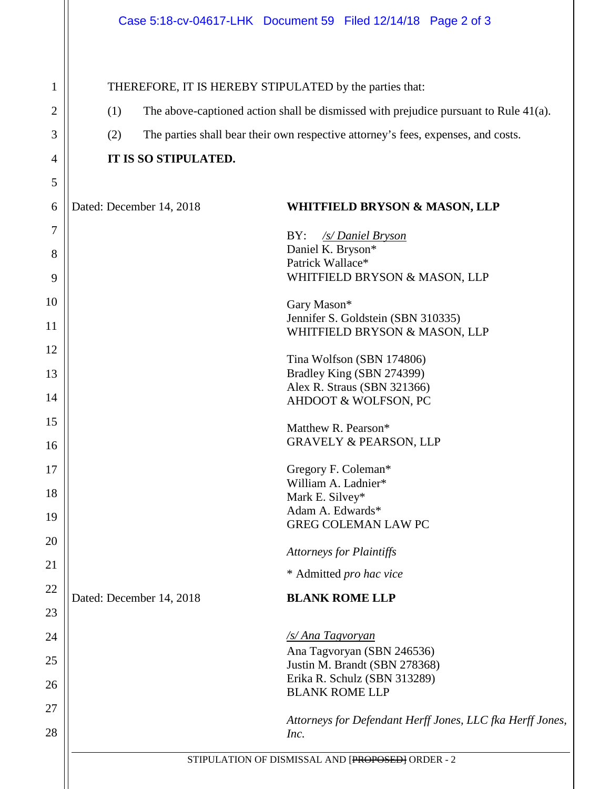1

2

3

4

5

6

7

8

9

10

11

12

13

14

15

16

17

18

19

20

21

22

23

24

25

26

27

28

THEREFORE, IT IS HEREBY STIPULATED by the parties that: (1) The above-captioned action shall be dismissed with prejudice pursuant to Rule 41(a). (2) The parties shall bear their own respective attorney's fees, expenses, and costs. **IT IS SO STIPULATED.** Dated: December 14, 2018 **WHITFIELD BRYSON & MASON, LLP** BY: */s/ Daniel Bryson* Daniel K. Bryson\* Patrick Wallace\* WHITFIELD BRYSON & MASON, LLP Gary Mason\* Jennifer S. Goldstein (SBN 310335) WHITFIELD BRYSON & MASON, LLP Tina Wolfson (SBN 174806) Bradley King (SBN 274399) Alex R. Straus (SBN 321366) AHDOOT & WOLFSON, PC Matthew R. Pearson\* GRAVELY & PEARSON, LLP Gregory F. Coleman\* William A. Ladnier\* Mark E. Silvey\* Adam A. Edwards\* GREG COLEMAN LAW PC *Attorneys for Plaintiffs* \* Admitted *pro hac vice* Dated: December 14, 2018 **BLANK ROME LLP** */s/ Ana Tagvoryan* Ana Tagvoryan (SBN 246536) Justin M. Brandt (SBN 278368) Erika R. Schulz (SBN 313289) Case 5:18-cv-04617-LHK Document 59 Filed 12/14/18 Page 2 of 3

> *Attorneys for Defendant Herff Jones, LLC fka Herff Jones, Inc.*

BLANK ROME LLP